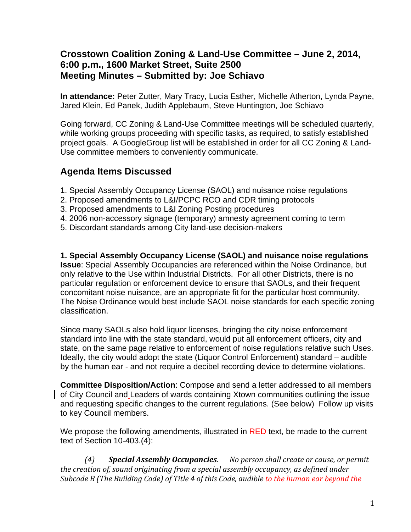## **Crosstown Coalition Zoning & Land-Use Committee – June 2, 2014, 6:00 p.m., 1600 Market Street, Suite 2500 Meeting Minutes – Submitted by: Joe Schiavo**

**In attendance:** Peter Zutter, Mary Tracy, Lucia Esther, Michelle Atherton, Lynda Payne, Jared Klein, Ed Panek, Judith Applebaum, Steve Huntington, Joe Schiavo

Going forward, CC Zoning & Land-Use Committee meetings will be scheduled quarterly, while working groups proceeding with specific tasks, as required, to satisfy established project goals. A GoogleGroup list will be established in order for all CC Zoning & Land-Use committee members to conveniently communicate.

# **Agenda Items Discussed**

- 1. Special Assembly Occupancy License (SAOL) and nuisance noise regulations
- 2. Proposed amendments to L&I/PCPC RCO and CDR timing protocols
- 3. Proposed amendments to L&I Zoning Posting procedures
- 4. 2006 non-accessory signage (temporary) amnesty agreement coming to term
- 5. Discordant standards among City land-use decision-makers

**1. Special Assembly Occupancy License (SAOL) and nuisance noise regulations Issue**: Special Assembly Occupancies are referenced within the Noise Ordinance, but only relative to the Use within Industrial Districts. For all other Districts, there is no particular regulation or enforcement device to ensure that SAOLs, and their frequent concomitant noise nuisance, are an appropriate fit for the particular host community. The Noise Ordinance would best include SAOL noise standards for each specific zoning classification.

Since many SAOLs also hold liquor licenses, bringing the city noise enforcement standard into line with the state standard, would put all enforcement officers, city and state, on the same page relative to enforcement of noise regulations relative such Uses. Ideally, the city would adopt the state (Liquor Control Enforcement) standard – audible by the human ear - and not require a decibel recording device to determine violations.

**Committee Disposition/Action**: Compose and send a letter addressed to all members of City Council and Leaders of wards containing Xtown communities outlining the issue and requesting specific changes to the current regulations. (See below) Follow up visits to key Council members.

We propose the following amendments, illustrated in RED text, be made to the current text of Section 10-403.(4):

*(4) Special Assembly Occupancies. No person shall create or cause, or permit the creation of, sound originating from a special assembly occupancy, as defined under Subcode B (The Building Code) of Title 4 of this Code, audible to the human ear beyond the*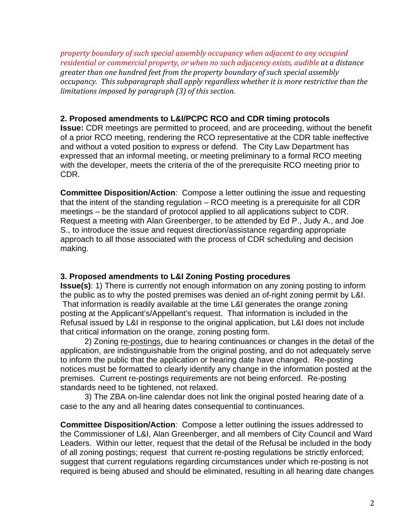*property boundary of such special assembly occupancy when adjacent to any occupied residential or commercial property, or when no such adjacency exists, audible at a distance greater than one hundred feet from the property boundary of such special assembly occupancy. This subparagraph shall apply regardless whether it is more restrictive than the limitations imposed by paragraph (3) of this section.*

### **2. Proposed amendments to L&I/PCPC RCO and CDR timing protocols**

**Issue:** CDR meetings are permitted to proceed, and are proceeding, without the benefit of a prior RCO meeting, rendering the RCO representative at the CDR table ineffective and without a voted position to express or defend. The City Law Department has expressed that an informal meeting, or meeting preliminary to a formal RCO meeting with the developer, meets the criteria of the of the prerequisite RCO meeting prior to CDR.

**Committee Disposition/Action**: Compose a letter outlining the issue and requesting that the intent of the standing regulation – RCO meeting is a prerequisite for all CDR meetings – be the standard of protocol applied to all applications subject to CDR. Request a meeting with Alan Greenberger, to be attended by Ed P., Judy A., and Joe S., to introduce the issue and request direction/assistance regarding appropriate approach to all those associated with the process of CDR scheduling and decision making.

### **3. Proposed amendments to L&I Zoning Posting procedures**

**Issue(s)**: 1) There is currently not enough information on any zoning posting to inform the public as to why the posted premises was denied an of-right zoning permit by L&I. That information is readily available at the time L&I generates the orange zoning posting at the Applicant's/Appellant's request. That information is included in the Refusal issued by L&I in response to the original application, but L&I does not include that critical information on the orange, zoning posting form.

 2) Zoning re-postings, due to hearing continuances or changes in the detail of the application, are indistinguishable from the original posting, and do not adequately serve to inform the public that the application or hearing date have changed. Re-posting notices must be formatted to clearly identify any change in the information posted at the premises. Current re-postings requirements are not being enforced. Re-posting standards need to be tightened, not relaxed.

 3) The ZBA on-line calendar does not link the original posted hearing date of a case to the any and all hearing dates consequential to continuances.

**Committee Disposition/Action**: Compose a letter outlining the issues addressed to the Commissioner of L&I, Alan Greenberger, and all members of City Council and Ward Leaders. Within our letter, request that the detail of the Refusal be included in the body of all zoning postings; request that current re-posting regulations be strictly enforced; suggest that current regulations regarding circumstances under which re-posting is not required is being abused and should be eliminated, resulting in all hearing date changes